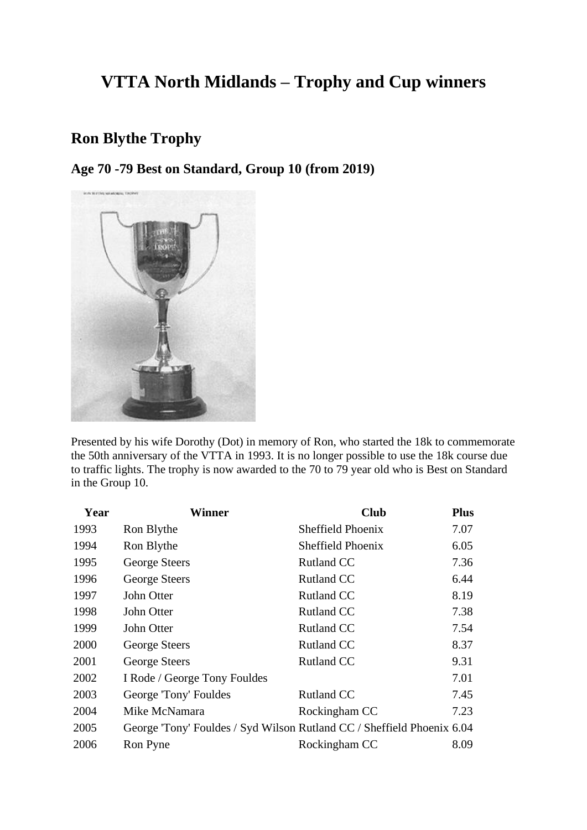# **VTTA North Midlands – Trophy and Cup winners**

## **Ron Blythe Trophy**

**Age 70 -79 Best on Standard, Group 10 (from 2019)**



Presented by his wife Dorothy (Dot) in memory of Ron, who started the 18k to commemorate the 50th anniversary of the VTTA in 1993. It is no longer possible to use the 18k course due to traffic lights. The trophy is now awarded to the 70 to 79 year old who is Best on Standard in the Group 10.

| Year | <b>Winner</b>                                                          | <b>Club</b>       | <b>Plus</b> |
|------|------------------------------------------------------------------------|-------------------|-------------|
| 1993 | Ron Blythe                                                             | Sheffield Phoenix | 7.07        |
| 1994 | Ron Blythe                                                             | Sheffield Phoenix | 6.05        |
| 1995 | George Steers                                                          | <b>Rutland CC</b> | 7.36        |
| 1996 | George Steers                                                          | <b>Rutland CC</b> | 6.44        |
| 1997 | John Otter                                                             | <b>Rutland CC</b> | 8.19        |
| 1998 | John Otter                                                             | <b>Rutland CC</b> | 7.38        |
| 1999 | John Otter                                                             | <b>Rutland CC</b> | 7.54        |
| 2000 | George Steers                                                          | <b>Rutland CC</b> | 8.37        |
| 2001 | George Steers                                                          | <b>Rutland CC</b> | 9.31        |
| 2002 | I Rode / George Tony Fouldes                                           |                   | 7.01        |
| 2003 | George 'Tony' Fouldes                                                  | <b>Rutland CC</b> | 7.45        |
| 2004 | Mike McNamara                                                          | Rockingham CC     | 7.23        |
| 2005 | George 'Tony' Fouldes / Syd Wilson Rutland CC / Sheffield Phoenix 6.04 |                   |             |
| 2006 | Ron Pyne                                                               | Rockingham CC     | 8.09        |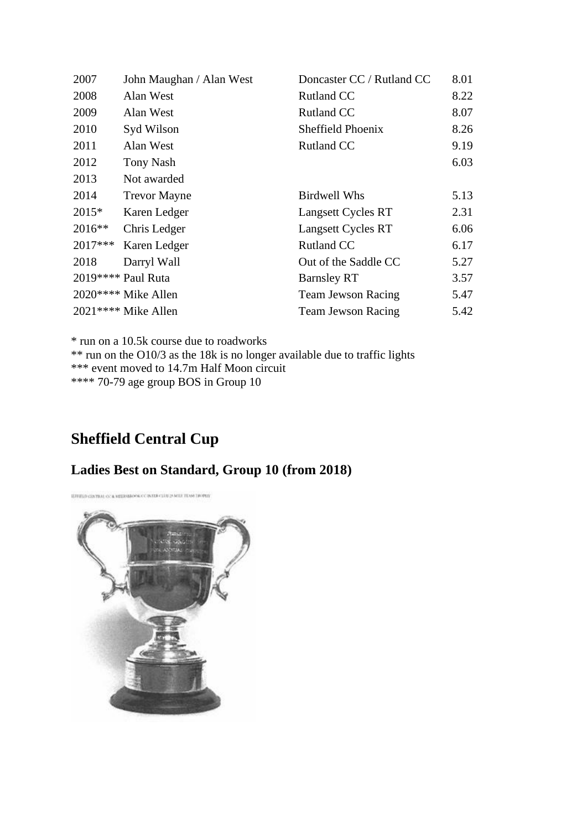| 2007     | John Maughan / Alan West | Doncaster CC / Rutland CC | 8.01 |
|----------|--------------------------|---------------------------|------|
| 2008     | Alan West                | Rutland CC                | 8.22 |
| 2009     | Alan West                | <b>Rutland CC</b>         | 8.07 |
| 2010     | Syd Wilson               | Sheffield Phoenix         | 8.26 |
| 2011     | Alan West                | <b>Rutland CC</b>         | 9.19 |
| 2012     | <b>Tony Nash</b>         |                           | 6.03 |
| 2013     | Not awarded              |                           |      |
| 2014     | <b>Trevor Mayne</b>      | <b>Birdwell Whs</b>       | 5.13 |
| $2015*$  | Karen Ledger             | Langsett Cycles RT        | 2.31 |
| $2016**$ | Chris Ledger             | Langsett Cycles RT        | 6.06 |
| 2017***  | Karen Ledger             | <b>Rutland CC</b>         | 6.17 |
| 2018     | Darryl Wall              | Out of the Saddle CC      | 5.27 |
|          | 2019**** Paul Ruta       | <b>Barnsley RT</b>        | 3.57 |
|          | 2020**** Mike Allen      | <b>Team Jewson Racing</b> | 5.47 |
|          | 2021**** Mike Allen      | <b>Team Jewson Racing</b> | 5.42 |

\* run on a 10.5k course due to roadworks

\*\* run on the O10/3 as the 18k is no longer available due to traffic lights \*\*\* event moved to 14.7m Half Moon circuit \*\*\*\* 70-79 age group BOS in Group 10

## **Sheffield Central Cup**

#### **Ladies Best on Standard, Group 10 (from 2018)**

ETHER CINTER OF A REEGANDER CONTRACTOR IN HE TEAM DOWN

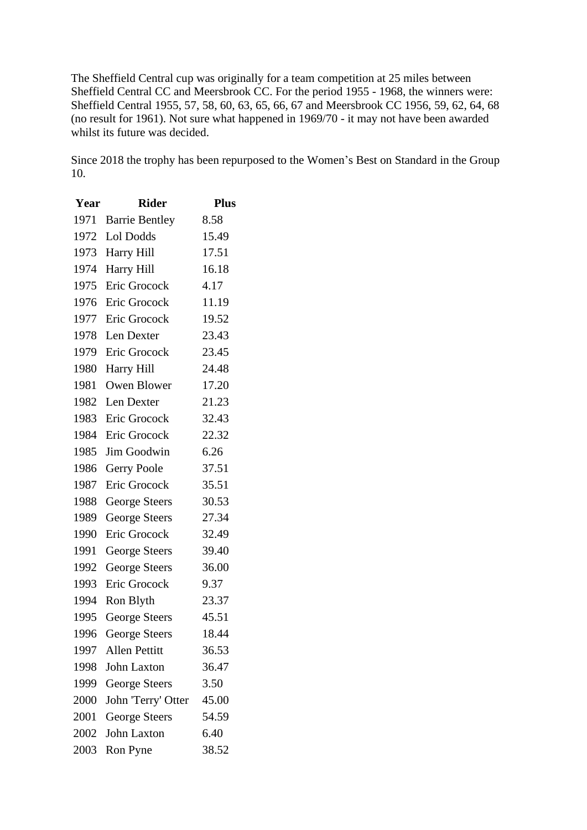The Sheffield Central cup was originally for a team competition at 25 miles between Sheffield Central CC and Meersbrook CC. For the period 1955 - 1968, the winners were: Sheffield Central 1955, 57, 58, 60, 63, 65, 66, 67 and Meersbrook CC 1956, 59, 62, 64, 68 (no result for 1961). Not sure what happened in 1969/70 - it may not have been awarded whilst its future was decided.

Since 2018 the trophy has been repurposed to the Women's Best on Standard in the Group 10.

| Year | <b>Rider</b>          | <b>Plus</b> |
|------|-----------------------|-------------|
| 1971 | <b>Barrie Bentley</b> | 8.58        |
| 1972 | Lol Dodds             | 15.49       |
| 1973 | Harry Hill            | 17.51       |
| 1974 | Harry Hill            | 16.18       |
| 1975 | Eric Grocock          | 4.17        |
| 1976 | Eric Grocock          | 11.19       |
| 1977 | Eric Grocock          | 19.52       |
| 1978 | Len Dexter            | 23.43       |
| 1979 | Eric Grocock          | 23.45       |
| 1980 | Harry Hill            | 24.48       |
| 1981 | Owen Blower           | 17.20       |
| 1982 | Len Dexter            | 21.23       |
| 1983 | Eric Grocock          | 32.43       |
| 1984 | Eric Grocock          | 22.32       |
| 1985 | <b>Jim Goodwin</b>    | 6.26        |
| 1986 | <b>Gerry Poole</b>    | 37.51       |
| 1987 | Eric Grocock          | 35.51       |
| 1988 | George Steers         | 30.53       |
| 1989 | <b>George Steers</b>  | 27.34       |
| 1990 | Eric Grocock          | 32.49       |
| 1991 | <b>George Steers</b>  | 39.40       |
| 1992 | <b>George Steers</b>  | 36.00       |
| 1993 | Eric Grocock          | 9.37        |
| 1994 | Ron Blyth             | 23.37       |
| 1995 | <b>George Steers</b>  | 45.51       |
| 1996 | George Steers         | 18.44       |
| 1997 | <b>Allen Pettitt</b>  | 36.53       |
| 1998 | <b>John Laxton</b>    | 36.47       |
| 1999 | <b>George Steers</b>  | 3.50        |
| 2000 | John 'Terry' Otter    | 45.00       |
| 2001 | <b>George Steers</b>  | 54.59       |
| 2002 | <b>John Laxton</b>    | 6.40        |
| 2003 | Ron Pyne              | 38.52       |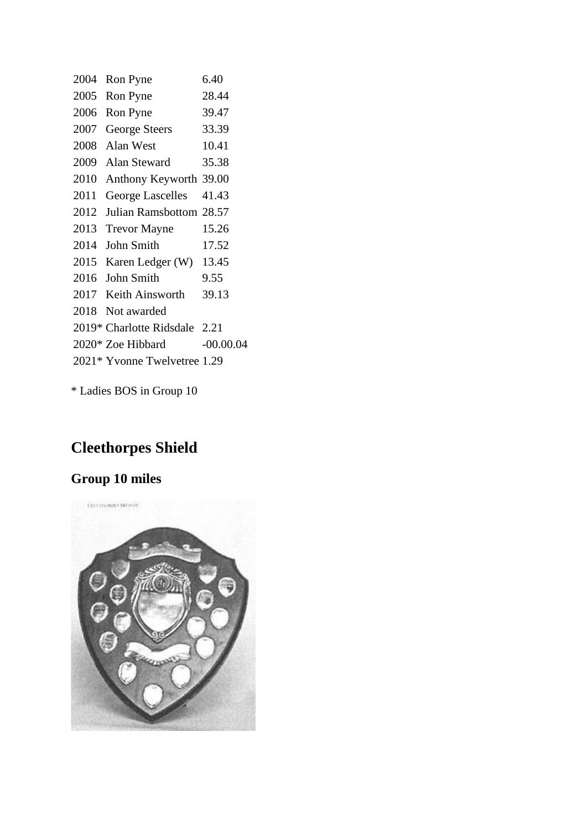| 2004 | Ron Pyne                      | 6.40        |
|------|-------------------------------|-------------|
| 2005 | Ron Pyne                      | 28.44       |
| 2006 | Ron Pyne                      | 39.47       |
| 2007 | <b>George Steers</b>          | 33.39       |
| 2008 | Alan West                     | 10.41       |
| 2009 | <b>Alan Steward</b>           | 35.38       |
| 2010 | Anthony Keyworth 39.00        |             |
| 2011 | <b>George Lascelles</b>       | 41.43       |
| 2012 | Julian Ramsbottom 28.57       |             |
| 2013 | <b>Trevor Mayne</b>           | 15.26       |
| 2014 | John Smith                    | 17.52       |
| 2015 | Karen Ledger (W)              | 13.45       |
| 2016 | John Smith                    | 9.55        |
| 2017 | Keith Ainsworth               | 39.13       |
| 2018 | Not awarded                   |             |
|      | 2019* Charlotte Ridsdale 2.21 |             |
|      | 2020* Zoe Hibbard             | $-00.00.04$ |
|      | 2021* Yvonne Twelvetree 1.29  |             |
|      |                               |             |

\* Ladies BOS in Group 10

# **Cleethorpes Shield**

# **Group 10 miles**

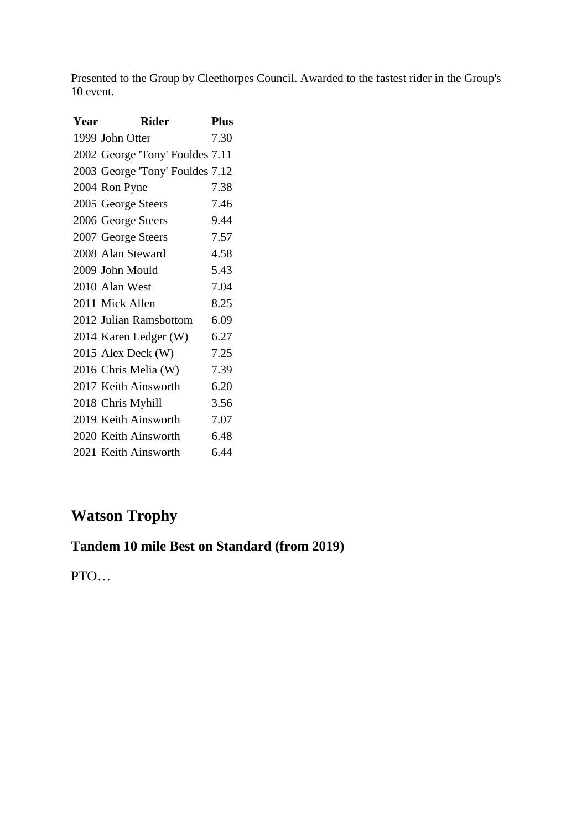Presented to the Group by Cleethorpes Council. Awarded to the fastest rider in the Group's 10 event.

| Year | Rider                           | Phis |
|------|---------------------------------|------|
|      | 1999 John Otter                 | 7.30 |
|      | 2002 George 'Tony' Fouldes 7.11 |      |
|      | 2003 George 'Tony' Fouldes 7.12 |      |
|      | 2004 Ron Pyne                   | 7.38 |
|      | 2005 George Steers              | 7.46 |
|      | 2006 George Steers              | 9.44 |
|      | 2007 George Steers              | 7.57 |
|      | 2008 Alan Steward               | 4.58 |
|      | 2009 John Mould                 | 5.43 |
|      | 2010 Alan West                  | 7.04 |
|      | 2011 Mick Allen                 | 8.25 |
|      | 2012 Julian Ramsbottom          | 6.09 |
|      | 2014 Karen Ledger (W)           | 6.27 |
|      | 2015 Alex Deck (W)              | 7.25 |
|      | 2016 Chris Melia (W)            | 7.39 |
|      | 2017 Keith Ainsworth            | 6.20 |
|      | 2018 Chris Myhill               | 3.56 |
|      | 2019 Keith Ainsworth            | 7.07 |
|      | 2020 Keith Ainsworth            | 6.48 |
|      | 2021 Keith Ainsworth            | 6.44 |

# **Watson Trophy**

## **Tandem 10 mile Best on Standard (from 2019)**

PTO…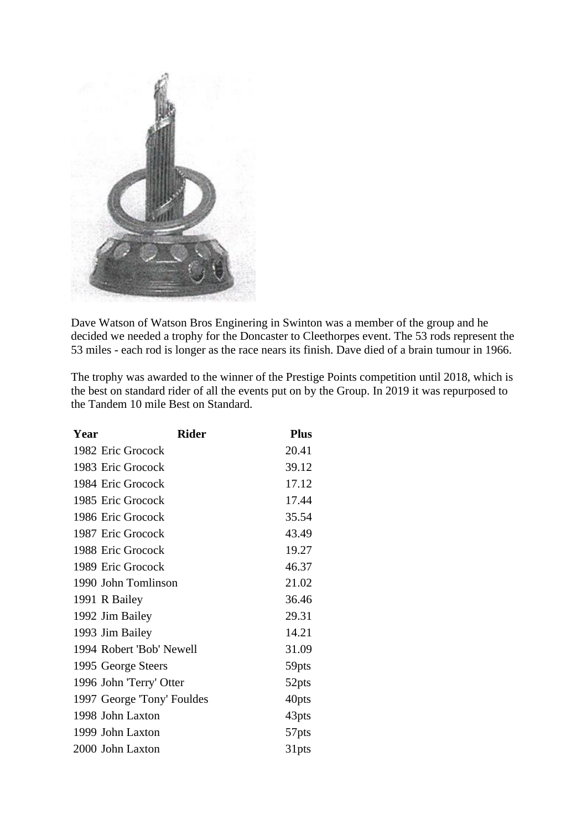

Dave Watson of Watson Bros Enginering in Swinton was a member of the group and he decided we needed a trophy for the Doncaster to Cleethorpes event. The 53 rods represent the 53 miles - each rod is longer as the race nears its finish. Dave died of a brain tumour in 1966.

The trophy was awarded to the winner of the Prestige Points competition until 2018, which is the best on standard rider of all the events put on by the Group. In 2019 it was repurposed to the Tandem 10 mile Best on Standard.

| Year | <b>Rider</b>               | <b>Plus</b> |
|------|----------------------------|-------------|
|      | 1982 Eric Grocock          | 20.41       |
|      | 1983 Eric Grocock          | 39.12       |
|      | 1984 Eric Grocock          | 17.12       |
|      | 1985 Eric Grocock          | 17.44       |
|      | 1986 Eric Grocock          | 35.54       |
|      | 1987 Eric Grocock          | 43.49       |
|      | 1988 Eric Grocock          | 19.27       |
|      | 1989 Eric Grocock          | 46.37       |
|      | 1990 John Tomlinson        | 21.02       |
|      | 1991 R Bailey              | 36.46       |
|      | 1992 Jim Bailey            | 29.31       |
|      | 1993 Jim Bailey            | 14.21       |
|      | 1994 Robert 'Bob' Newell   | 31.09       |
|      | 1995 George Steers         | 59pts       |
|      | 1996 John 'Terry' Otter    | 52pts       |
|      | 1997 George 'Tony' Fouldes | 40pts       |
|      | 1998 John Laxton           | 43pts       |
|      | 1999 John Laxton           | 57pts       |
|      | 2000 John Laxton           | 31pts       |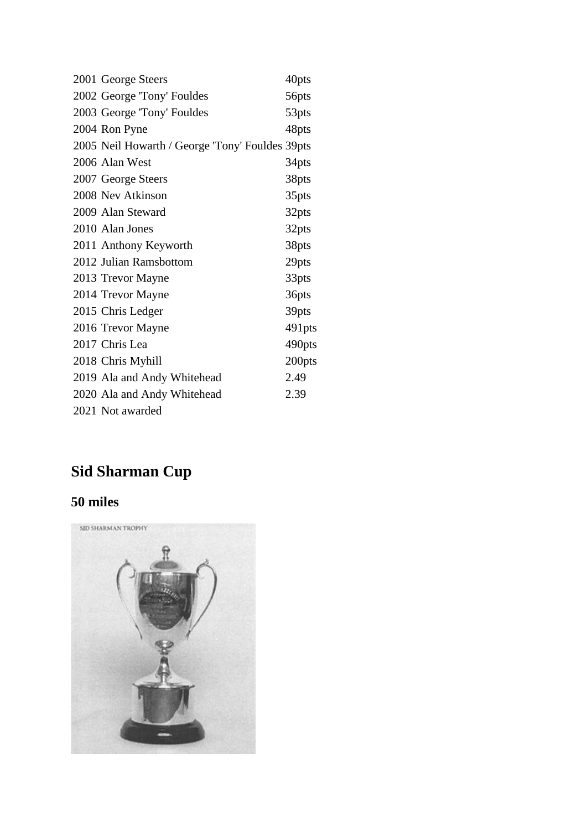| 2001 George Steers                              | 40pts  |
|-------------------------------------------------|--------|
| 2002 George 'Tony' Fouldes                      | 56pts  |
| 2003 George 'Tony' Fouldes                      | 53pts  |
| 2004 Ron Pyne                                   | 48pts  |
| 2005 Neil Howarth / George 'Tony' Fouldes 39pts |        |
| 2006 Alan West                                  | 34pts  |
| 2007 George Steers                              | 38pts  |
| 2008 Nev Atkinson                               | 35pts  |
| 2009 Alan Steward                               | 32pts  |
| 2010 Alan Jones                                 | 32pts  |
| 2011 Anthony Keyworth                           | 38pts  |
| 2012 Julian Ramsbottom                          | 29pts  |
| 2013 Trevor Mayne                               | 33pts  |
| 2014 Trevor Mayne                               | 36pts  |
| 2015 Chris Ledger                               | 39pts  |
| 2016 Trevor Mayne                               | 491pts |
| 2017 Chris Lea                                  | 490pts |
| 2018 Chris Myhill                               | 200pts |
| 2019 Ala and Andy Whitehead                     | 2.49   |
| 2020 Ala and Andy Whitehead                     | 2.39   |
| 2021 Not awarded                                |        |

# **Sid Sharman Cup**

## **50 miles**

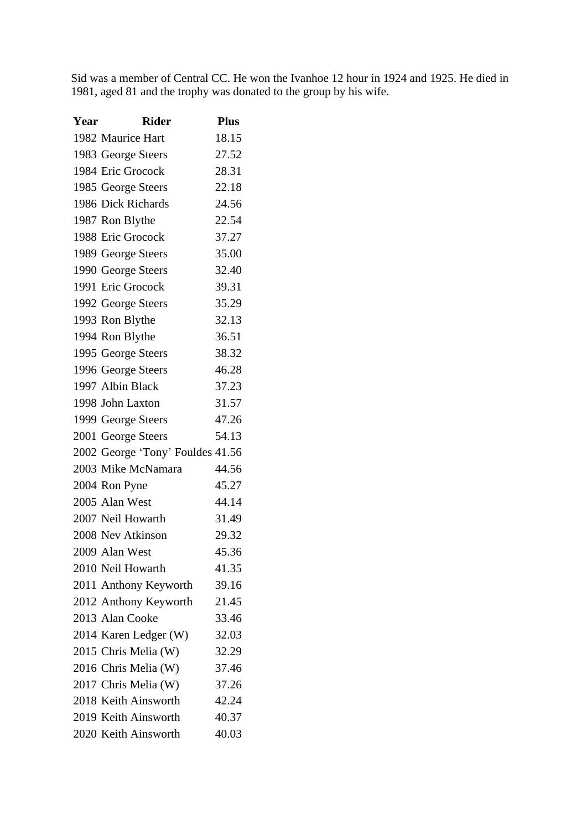Sid was a member of Central CC. He won the Ivanhoe 12 hour in 1924 and 1925. He died in 1981, aged 81 and the trophy was donated to the group by his wife.

| Year | <b>Rider</b>                     | <b>Plus</b> |
|------|----------------------------------|-------------|
|      | 1982 Maurice Hart                | 18.15       |
|      | 1983 George Steers               | 27.52       |
|      | 1984 Eric Grocock                | 28.31       |
|      | 1985 George Steers               | 22.18       |
|      | 1986 Dick Richards               | 24.56       |
|      | 1987 Ron Blythe                  | 22.54       |
|      | 1988 Eric Grocock                | 37.27       |
|      | 1989 George Steers               | 35.00       |
|      | 1990 George Steers               | 32.40       |
|      | 1991 Eric Grocock                | 39.31       |
|      | 1992 George Steers               | 35.29       |
|      | 1993 Ron Blythe                  | 32.13       |
|      | 1994 Ron Blythe                  | 36.51       |
|      | 1995 George Steers               | 38.32       |
|      | 1996 George Steers               | 46.28       |
|      | 1997 Albin Black                 | 37.23       |
|      | 1998 John Laxton                 | 31.57       |
|      | 1999 George Steers               | 47.26       |
|      | 2001 George Steers               | 54.13       |
|      | 2002 George 'Tony' Fouldes 41.56 |             |
|      | 2003 Mike McNamara               | 44.56       |
|      | 2004 Ron Pyne                    | 45.27       |
|      | 2005 Alan West                   | 44.14       |
|      | 2007 Neil Howarth                | 31.49       |
|      | 2008 Nev Atkinson                | 29.32       |
|      | 2009 Alan West                   | 45.36       |
|      | 2010 Neil Howarth                | 41.35       |
|      | 2011 Anthony Keyworth            | 39.16       |
|      | 2012 Anthony Keyworth            | 21.45       |
|      | 2013 Alan Cooke                  | 33.46       |
|      | 2014 Karen Ledger (W)            | 32.03       |
|      | 2015 Chris Melia (W)             | 32.29       |
|      | 2016 Chris Melia (W)             | 37.46       |
|      | 2017 Chris Melia (W)             | 37.26       |
|      | 2018 Keith Ainsworth             | 42.24       |
|      | 2019 Keith Ainsworth             | 40.37       |
|      | 2020 Keith Ainsworth             | 40.03       |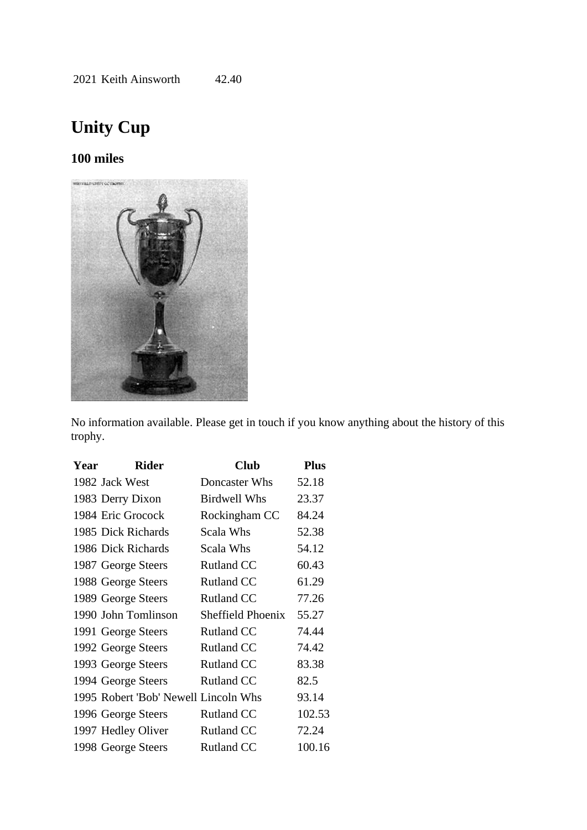# **Unity Cup**

#### **100 miles**



No information available. Please get in touch if you know anything about the history of this trophy.

| Year | <b>Rider</b>                         | <b>Club</b>              | <b>Plus</b> |
|------|--------------------------------------|--------------------------|-------------|
|      | 1982 Jack West                       | Doncaster Whs            | 52.18       |
|      | 1983 Derry Dixon                     | Birdwell Whs             | 23.37       |
|      | 1984 Eric Grocock                    | Rockingham CC            | 84.24       |
|      | 1985 Dick Richards                   | Scala Whs                | 52.38       |
|      | 1986 Dick Richards                   | Scala Whs                | 54.12       |
|      | 1987 George Steers                   | <b>Rutland CC</b>        | 60.43       |
|      | 1988 George Steers                   | <b>Rutland CC</b>        | 61.29       |
|      | 1989 George Steers                   | <b>Rutland CC</b>        | 77.26       |
|      | 1990 John Tomlinson                  | <b>Sheffield Phoenix</b> | 55.27       |
|      | 1991 George Steers                   | <b>Rutland CC</b>        | 74.44       |
|      | 1992 George Steers                   | <b>Rutland CC</b>        | 74.42       |
|      | 1993 George Steers                   | <b>Rutland CC</b>        | 83.38       |
|      | 1994 George Steers                   | <b>Rutland CC</b>        | 82.5        |
|      | 1995 Robert 'Bob' Newell Lincoln Whs |                          | 93.14       |
|      | 1996 George Steers                   | <b>Rutland CC</b>        | 102.53      |
|      | 1997 Hedley Oliver                   | <b>Rutland CC</b>        | 72.24       |
|      | 1998 George Steers                   | <b>Rutland CC</b>        | 100.16      |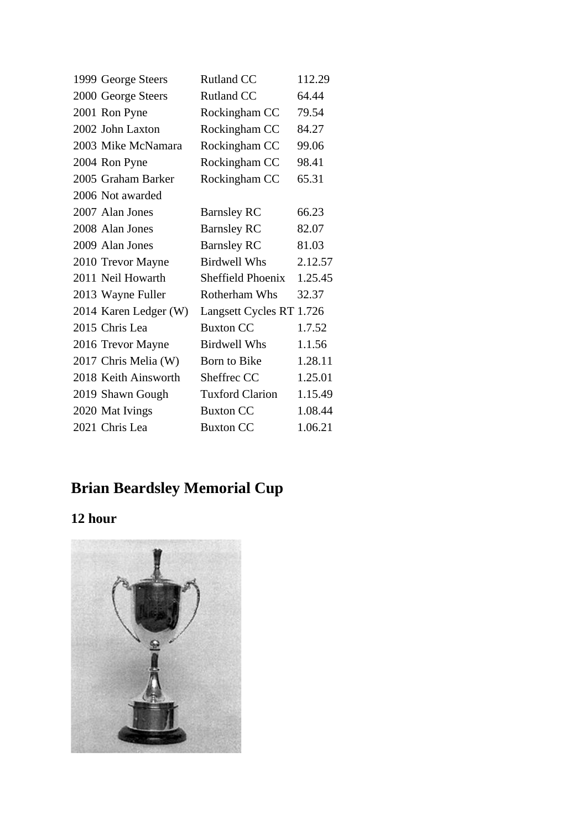| 1999 George Steers    | <b>Rutland CC</b>        | 112.29  |
|-----------------------|--------------------------|---------|
| 2000 George Steers    | <b>Rutland CC</b>        | 64.44   |
| 2001 Ron Pyne         | Rockingham CC            | 79.54   |
| 2002 John Laxton      | Rockingham CC            | 84.27   |
| 2003 Mike McNamara    | Rockingham CC            | 99.06   |
| 2004 Ron Pyne         | Rockingham CC            | 98.41   |
| 2005 Graham Barker    | Rockingham CC            | 65.31   |
| 2006 Not awarded      |                          |         |
| 2007 Alan Jones       | <b>Barnsley RC</b>       | 66.23   |
| 2008 Alan Jones       | <b>Barnsley RC</b>       | 82.07   |
| 2009 Alan Jones       | <b>Barnsley RC</b>       | 81.03   |
| 2010 Trevor Mayne     | <b>Birdwell Whs</b>      | 2.12.57 |
| 2011 Neil Howarth     | Sheffield Phoenix        | 1.25.45 |
| 2013 Wayne Fuller     | Rotherham Whs            | 32.37   |
| 2014 Karen Ledger (W) | Langsett Cycles RT 1.726 |         |
| 2015 Chris Lea        | <b>Buxton CC</b>         | 1.7.52  |
| 2016 Trevor Mayne     | <b>Birdwell Whs</b>      | 1.1.56  |
| 2017 Chris Melia (W)  | Born to Bike             | 1.28.11 |
| 2018 Keith Ainsworth  | Sheffrec CC              | 1.25.01 |
| 2019 Shawn Gough      | <b>Tuxford Clarion</b>   | 1.15.49 |
| 2020 Mat Ivings       | <b>Buxton CC</b>         | 1.08.44 |
| 2021 Chris Lea        | <b>Buxton CC</b>         | 1.06.21 |

# **Brian Beardsley Memorial Cup**

# **12 hour**

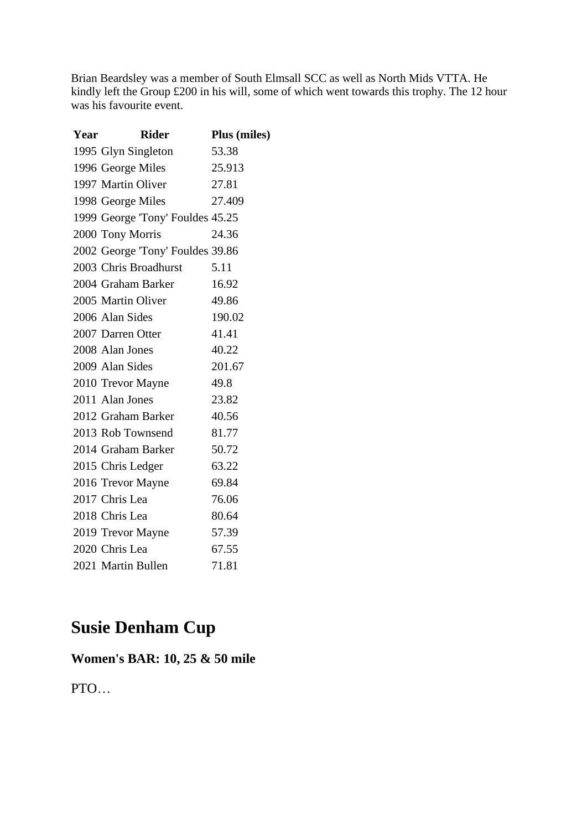Brian Beardsley was a member of South Elmsall SCC as well as North Mids VTTA. He kindly left the Group £200 in his will, some of which went towards this trophy. The 12 hour was his favourite event.

| Year | <b>Rider</b>                     | <b>Plus</b> (miles) |
|------|----------------------------------|---------------------|
|      | 1995 Glyn Singleton              | 53.38               |
|      | 1996 George Miles                | 25.913              |
|      | 1997 Martin Oliver               | 27.81               |
|      | 1998 George Miles                | 27.409              |
|      | 1999 George 'Tony' Fouldes 45.25 |                     |
|      | 2000 Tony Morris                 | 24.36               |
|      | 2002 George 'Tony' Fouldes 39.86 |                     |
|      | 2003 Chris Broadhurst            | 5.11                |
|      | 2004 Graham Barker               | 16.92               |
|      | 2005 Martin Oliver               | 49.86               |
|      | 2006 Alan Sides                  | 190.02              |
|      | 2007 Darren Otter                | 41.41               |
|      | 2008 Alan Jones                  | 40.22               |
|      | 2009 Alan Sides                  | 201.67              |
|      | 2010 Trevor Mayne                | 49.8                |
|      | 2011 Alan Jones                  | 23.82               |
|      | 2012 Graham Barker               | 40.56               |
|      | 2013 Rob Townsend                | 81.77               |
|      | 2014 Graham Barker               | 50.72               |
|      | 2015 Chris Ledger                | 63.22               |
|      | 2016 Trevor Mayne                | 69.84               |
|      | 2017 Chris Lea                   | 76.06               |
|      | 2018 Chris Lea                   | 80.64               |
|      | 2019 Trevor Mayne                | 57.39               |
|      | 2020 Chris Lea                   | 67.55               |
|      | 2021 Martin Bullen               | 71.81               |

# **Susie Denham Cup**

## **Women's BAR: 10, 25 & 50 mile**

PTO…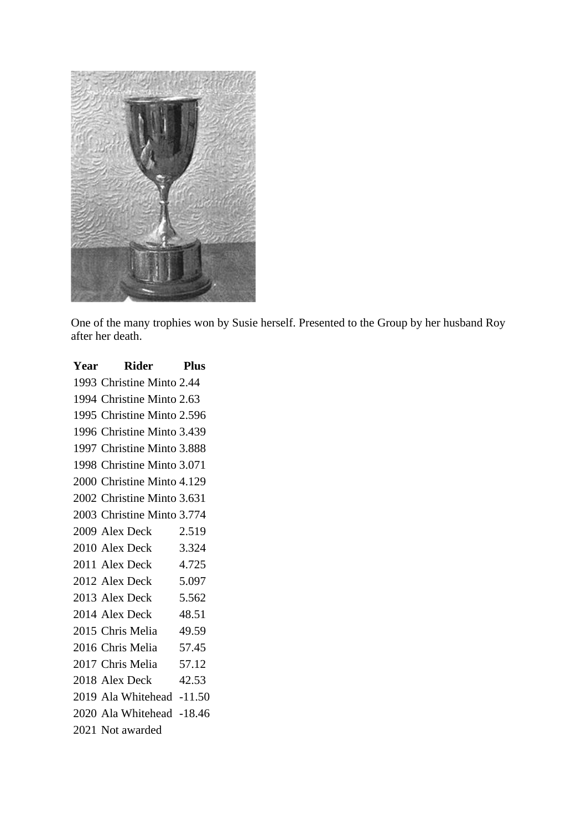

One of the many trophies won by Susie herself. Presented to the Group by her husband Roy after her death.

| Year Rider Plus            |       |
|----------------------------|-------|
| 1993 Christine Minto 2.44  |       |
| 1994 Christine Minto 2.63  |       |
| 1995 Christine Minto 2.596 |       |
| 1996 Christine Minto 3.439 |       |
| 1997 Christine Minto 3.888 |       |
| 1998 Christine Minto 3.071 |       |
| 2000 Christine Minto 4.129 |       |
| 2002 Christine Minto 3.631 |       |
| 2003 Christine Minto 3.774 |       |
| 2009 Alex Deck             | 2.519 |
| 2010 Alex Deck             | 3.324 |
| 2011 Alex Deck 4.725       |       |
| 2012 Alex Deck             | 5.097 |
| 2013 Alex Deck 5.562       |       |
| 2014 Alex Deck             | 48.51 |
| 2015 Chris Melia 49.59     |       |
| 2016 Chris Melia 57.45     |       |
| 2017 Chris Melia           | 57.12 |
| 2018 Alex Deck             | 42.53 |
| 2019 Ala Whitehead -11.50  |       |
| 2020 Ala Whitehead -18.46  |       |
| 2021 Not awarded           |       |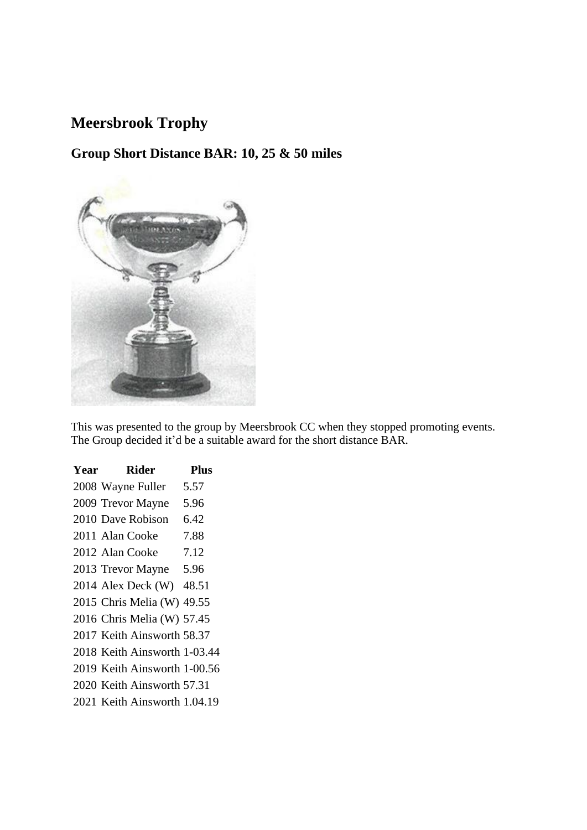## **Meersbrook Trophy**

## **Group Short Distance BAR: 10, 25 & 50 miles**



This was presented to the group by Meersbrook CC when they stopped promoting events. The Group decided it'd be a suitable award for the short distance BAR.

| Year  | Rider                                                                                  | <b>Plus</b> |
|-------|----------------------------------------------------------------------------------------|-------------|
|       | 2008 Wayne Fuller                                                                      | 5.57        |
|       | 2009 Trevor Mayne                                                                      | 5.96        |
|       | 2010 Dave Robison                                                                      | 6.42        |
|       | 2011 Alan Cooke                                                                        | 7.88        |
|       | 2012 Alan Cooke                                                                        | 7.12        |
|       | 2013 Trevor Mayne 5.96                                                                 |             |
|       | 2014 Alex Deck (W) 48.51                                                               |             |
|       | 2015 Chris Melia (W) 49.55                                                             |             |
|       | 2016 Chris Melia (W) 57.45                                                             |             |
|       | 2017 Keith Ainsworth 58.37                                                             |             |
|       | 2018 Keith Ainsworth 1-03.44                                                           |             |
| 0.10T | $\cdots$<br>$\blacksquare$ $\blacksquare$ $\blacksquare$ $\blacksquare$ $\blacksquare$ |             |

- Keith Ainsworth 1-00.56
- Keith Ainsworth 57.31
- Keith Ainsworth 1.04.19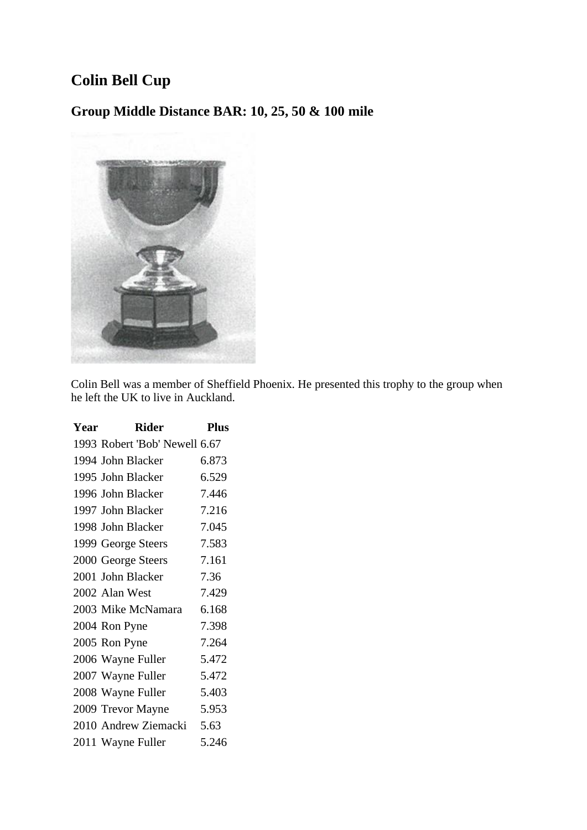## **Colin Bell Cup**

**Group Middle Distance BAR: 10, 25, 50 & 100 mile**



Colin Bell was a member of Sheffield Phoenix. He presented this trophy to the group when he left the UK to live in Auckland.

| Year | <b>Rider</b>                  | <b>Plus</b> |
|------|-------------------------------|-------------|
|      | 1993 Robert 'Bob' Newell 6.67 |             |
|      | 1994 John Blacker             | 6.873       |
|      | 1995 John Blacker             | 6.529       |
|      | 1996 John Blacker             | 7.446       |
|      | 1997 John Blacker             | 7.216       |
|      | 1998 John Blacker             | 7.045       |
|      | 1999 George Steers            | 7.583       |
|      | 2000 George Steers            | 7.161       |
|      | 2001 John Blacker             | 7.36        |
|      | 2002 Alan West                | 7.429       |
|      | 2003 Mike McNamara            | 6.168       |
|      | 2004 Ron Pyne                 | 7.398       |
|      | 2005 Ron Pyne                 | 7.264       |
|      | 2006 Wayne Fuller             | 5.472       |
|      | 2007 Wayne Fuller             | 5.472       |
|      | 2008 Wayne Fuller             | 5.403       |
|      | 2009 Trevor Mayne             | 5.953       |
|      | 2010 Andrew Ziemacki          | 5.63        |
|      | 2011 Wayne Fuller             | 5.246       |
|      |                               |             |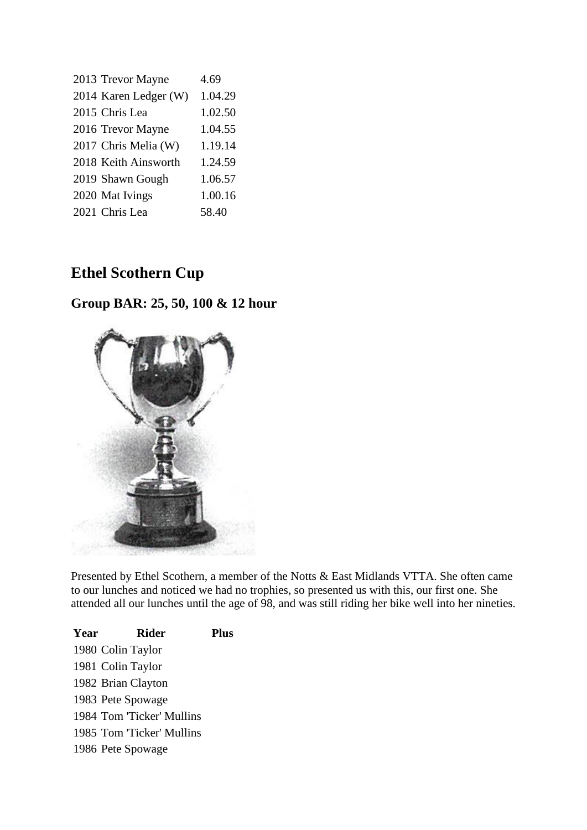| 2013 Trevor Mayne     | 4.69    |
|-----------------------|---------|
| 2014 Karen Ledger (W) | 1.04.29 |
| 2015 Chris Lea        | 1.02.50 |
| 2016 Trevor Mayne     | 1.04.55 |
| 2017 Chris Melia (W)  | 1.19.14 |
| 2018 Keith Ainsworth  | 1.24.59 |
| 2019 Shawn Gough      | 1.06.57 |
| 2020 Mat Ivings       | 1.00.16 |
| 2021 Chris Lea        | 58.40   |

## **Ethel Scothern Cup**

## **Group BAR: 25, 50, 100 & 12 hour**



Presented by Ethel Scothern, a member of the Notts & East Midlands VTTA. She often came to our lunches and noticed we had no trophies, so presented us with this, our first one. She attended all our lunches until the age of 98, and was still riding her bike well into her nineties.

| Year | Rider                     | <b>Plus</b> |
|------|---------------------------|-------------|
|      | 1980 Colin Taylor         |             |
|      | 1981 Colin Taylor         |             |
|      | 1982 Brian Clayton        |             |
|      | 1983 Pete Spowage         |             |
|      | 1984 Tom 'Ticker' Mullins |             |
|      | 1985 Tom 'Ticker' Mullins |             |
|      | 1986 Pete Spowage         |             |